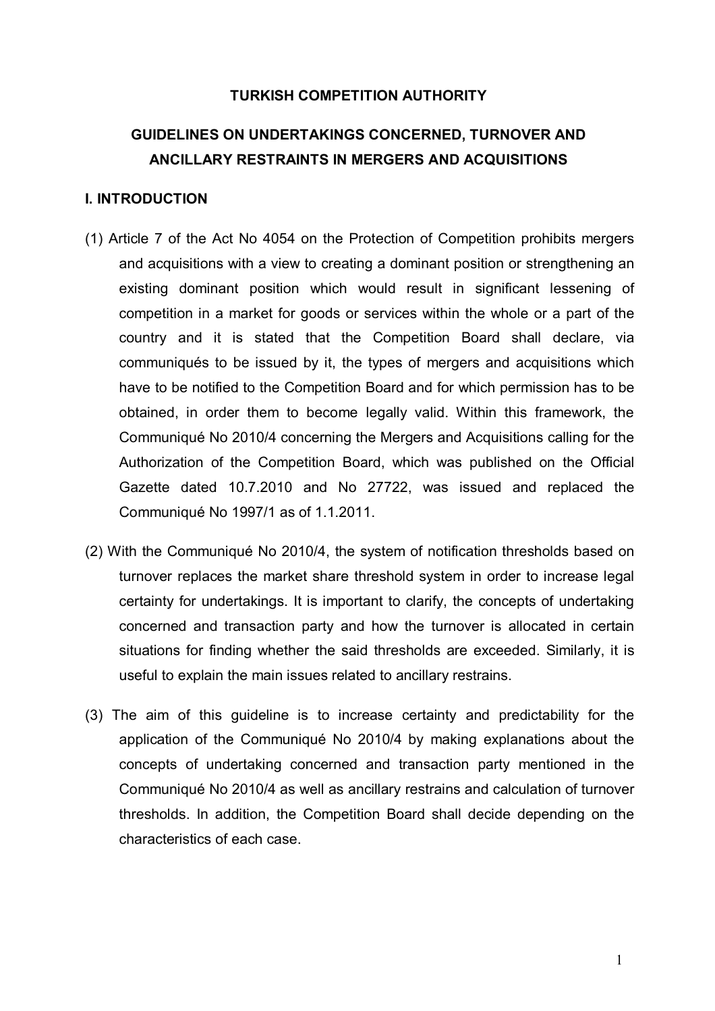### **TURKISH COMPETITION AUTHORITY**

# **GUIDELINES ON UNDERTAKINGS CONCERNED, TURNOVER AND ANCILLARY RESTRAINTS IN MERGERS AND ACQUISITIONS**

#### **I. INTRODUCTION**

- (1) Article 7 of the Act No 4054 on the Protection of Competition prohibits mergers and acquisitions with a view to creating a dominant position or strengthening an existing dominant position which would result in significant lessening of competition in a market for goods or services within the whole or a part of the country and it is stated that the Competition Board shall declare, via communiqués to be issued by it, the types of mergers and acquisitions which have to be notified to the Competition Board and for which permission has to be obtained, in order them to become legally valid. Within this framework, the Communiqué No 2010/4 concerning the Mergers and Acquisitions calling for the Authorization of the Competition Board, which was published on the Official Gazette dated 10.7.2010 and No 27722, was issued and replaced the Communiqué No 1997/1 as of 1.1.2011.
- (2) With the Communiqué No 2010/4, the system of notification thresholds based on turnover replaces the market share threshold system in order to increase legal certainty for undertakings. It is important to clarify, the concepts of undertaking concerned and transaction party and how the turnover is allocated in certain situations for finding whether the said thresholds are exceeded. Similarly, it is useful to explain the main issues related to ancillary restrains.
- (3) The aim of this guideline is to increase certainty and predictability for the application of the Communiqué No 2010/4 by making explanations about the concepts of undertaking concerned and transaction party mentioned in the Communiqué No 2010/4 as well as ancillary restrains and calculation of turnover thresholds. In addition, the Competition Board shall decide depending on the characteristics of each case.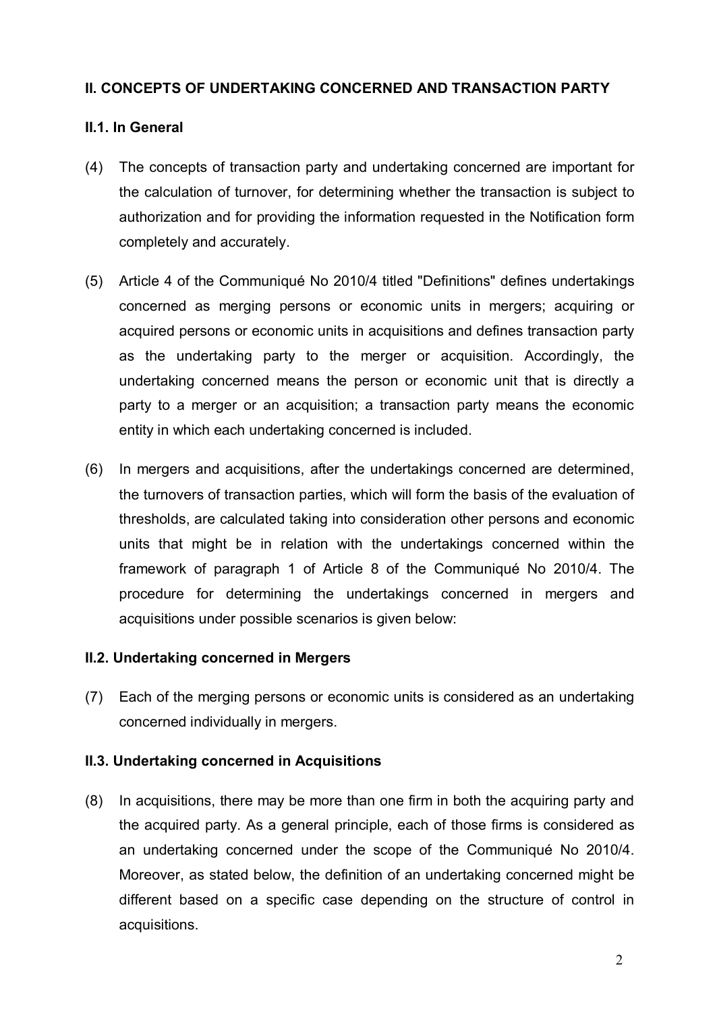## **II. CONCEPTS OF UNDERTAKING CONCERNED AND TRANSACTION PARTY**

# **II.1. In General**

- (4) The concepts of transaction party and undertaking concerned are important for the calculation of turnover, for determining whether the transaction is subject to authorization and for providing the information requested in the Notification form completely and accurately.
- (5) Article 4 of the Communiqué No 2010/4 titled "Definitions" defines undertakings concerned as merging persons or economic units in mergers; acquiring or acquired persons or economic units in acquisitions and defines transaction party as the undertaking party to the merger or acquisition. Accordingly, the undertaking concerned means the person or economic unit that is directly a party to a merger or an acquisition; a transaction party means the economic entity in which each undertaking concerned is included.
- (6) In mergers and acquisitions, after the undertakings concerned are determined, the turnovers of transaction parties, which will form the basis of the evaluation of thresholds, are calculated taking into consideration other persons and economic units that might be in relation with the undertakings concerned within the framework of paragraph 1 of Article 8 of the Communiqué No 2010/4. The procedure for determining the undertakings concerned in mergers and acquisitions under possible scenarios is given below:

#### **II.2. Undertaking concerned in Mergers**

(7) Each of the merging persons or economic units is considered as an undertaking concerned individually in mergers.

#### **II.3. Undertaking concerned in Acquisitions**

(8) In acquisitions, there may be more than one firm in both the acquiring party and the acquired party. As a general principle, each of those firms is considered as an undertaking concerned under the scope of the Communiqué No 2010/4. Moreover, as stated below, the definition of an undertaking concerned might be different based on a specific case depending on the structure of control in acquisitions.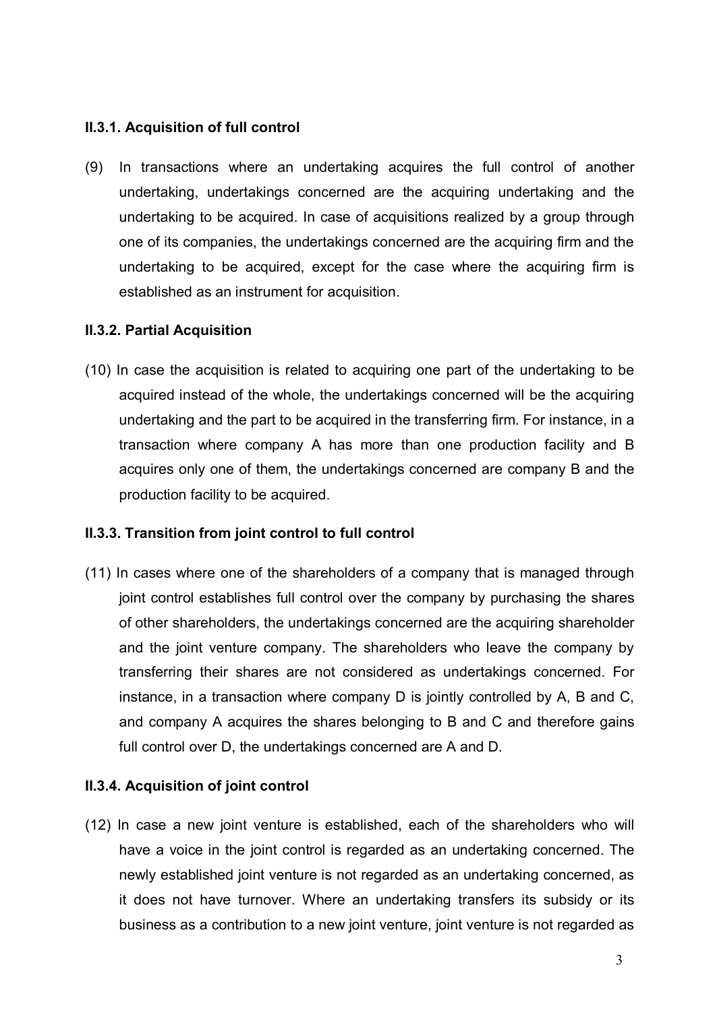# **II.3.1. Acquisition of full control**

(9) In transactions where an undertaking acquires the full control of another undertaking, undertakings concerned are the acquiring undertaking and the undertaking to be acquired. In case of acquisitions realized by a group through one of its companies, the undertakings concerned are the acquiring firm and the undertaking to be acquired, except for the case where the acquiring firm is established as an instrument for acquisition.

# **II.3.2. Partial Acquisition**

(10) In case the acquisition is related to acquiring one part of the undertaking to be acquired instead of the whole, the undertakings concerned will be the acquiring undertaking and the part to be acquired in the transferring firm. For instance, in a transaction where company A has more than one production facility and B acquires only one of them, the undertakings concerned are company B and the production facility to be acquired.

# **II.3.3. Transition from joint control to full control**

(11) In cases where one of the shareholders of a company that is managed through joint control establishes full control over the company by purchasing the shares of other shareholders, the undertakings concerned are the acquiring shareholder and the joint venture company. The shareholders who leave the company by transferring their shares are not considered as undertakings concerned. For instance, in a transaction where company D is jointly controlled by A, B and C, and company A acquires the shares belonging to B and C and therefore gains full control over D, the undertakings concerned are A and D.

# **II.3.4. Acquisition of joint control**

(12) In case a new joint venture is established, each of the shareholders who will have a voice in the joint control is regarded as an undertaking concerned. The newly established joint venture is not regarded as an undertaking concerned, as it does not have turnover. Where an undertaking transfers its subsidy or its business as a contribution to a new joint venture, joint venture is not regarded as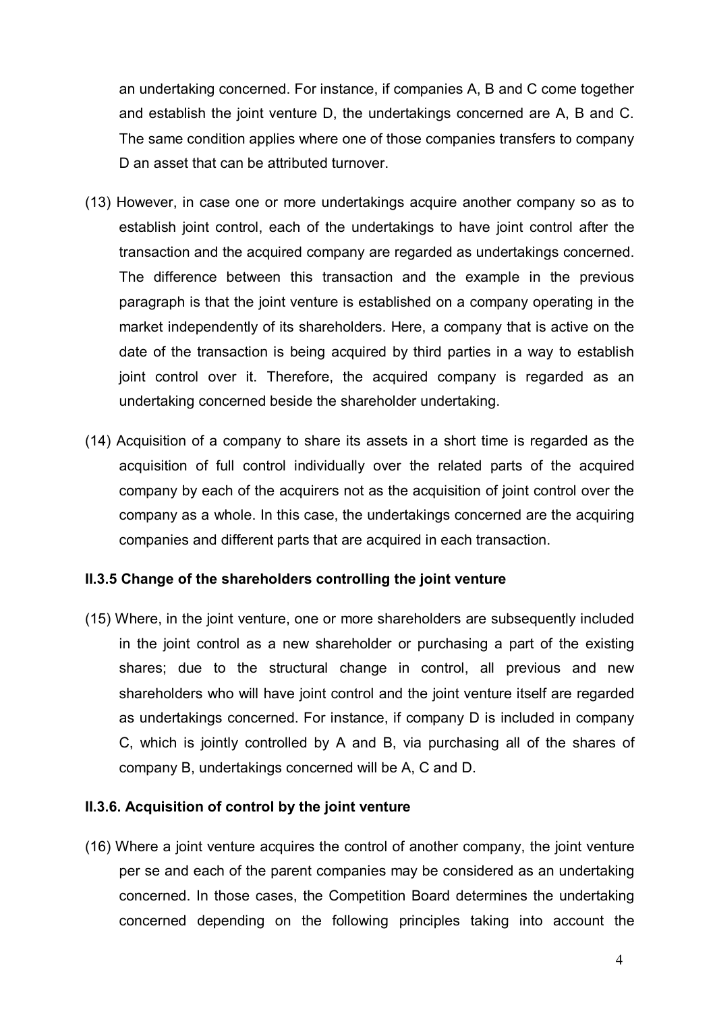an undertaking concerned. For instance, if companies A, B and C come together and establish the joint venture D, the undertakings concerned are A, B and C. The same condition applies where one of those companies transfers to company D an asset that can be attributed turnover.

- (13) However, in case one or more undertakings acquire another company so as to establish joint control, each of the undertakings to have joint control after the transaction and the acquired company are regarded as undertakings concerned. The difference between this transaction and the example in the previous paragraph is that the joint venture is established on a company operating in the market independently of its shareholders. Here, a company that is active on the date of the transaction is being acquired by third parties in a way to establish joint control over it. Therefore, the acquired company is regarded as an undertaking concerned beside the shareholder undertaking.
- (14) Acquisition of a company to share its assets in a short time is regarded as the acquisition of full control individually over the related parts of the acquired company by each of the acquirers not as the acquisition of joint control over the company as a whole. In this case, the undertakings concerned are the acquiring companies and different parts that are acquired in each transaction.

# **II.3.5 Change of the shareholders controlling the joint venture**

(15) Where, in the joint venture, one or more shareholders are subsequently included in the joint control as a new shareholder or purchasing a part of the existing shares; due to the structural change in control, all previous and new shareholders who will have joint control and the joint venture itself are regarded as undertakings concerned. For instance, if company D is included in company C, which is jointly controlled by A and B, via purchasing all of the shares of company B, undertakings concerned will be A, C and D.

#### **II.3.6. Acquisition of control by the joint venture**

(16) Where a joint venture acquires the control of another company, the joint venture per se and each of the parent companies may be considered as an undertaking concerned. In those cases, the Competition Board determines the undertaking concerned depending on the following principles taking into account the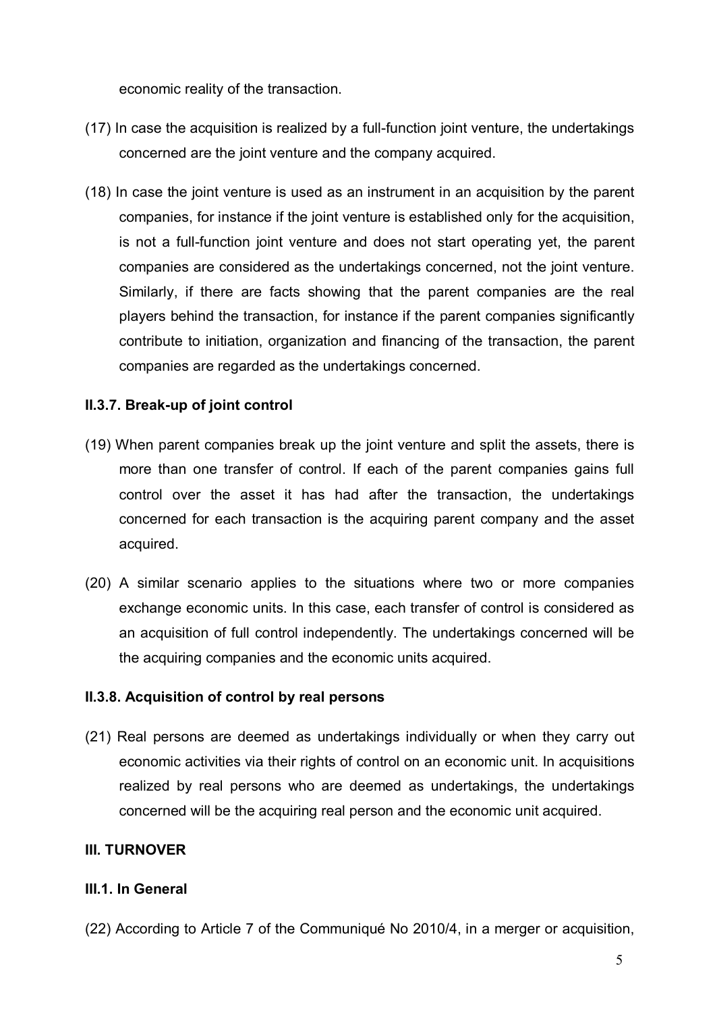economic reality of the transaction.

- (17) In case the acquisition is realized by a full-function joint venture, the undertakings concerned are the joint venture and the company acquired.
- (18) In case the joint venture is used as an instrument in an acquisition by the parent companies, for instance if the joint venture is established only for the acquisition, is not a full-function joint venture and does not start operating yet, the parent companies are considered as the undertakings concerned, not the joint venture. Similarly, if there are facts showing that the parent companies are the real players behind the transaction, for instance if the parent companies significantly contribute to initiation, organization and financing of the transaction, the parent companies are regarded as the undertakings concerned.

# **II.3.7. Break-up of joint control**

- (19) When parent companies break up the joint venture and split the assets, there is more than one transfer of control. If each of the parent companies gains full control over the asset it has had after the transaction, the undertakings concerned for each transaction is the acquiring parent company and the asset acquired.
- (20) A similar scenario applies to the situations where two or more companies exchange economic units. In this case, each transfer of control is considered as an acquisition of full control independently. The undertakings concerned will be the acquiring companies and the economic units acquired.

# **II.3.8. Acquisition of control by real persons**

(21) Real persons are deemed as undertakings individually or when they carry out economic activities via their rights of control on an economic unit. In acquisitions realized by real persons who are deemed as undertakings, the undertakings concerned will be the acquiring real person and the economic unit acquired.

# **III. TURNOVER**

# **III.1. In General**

(22) According to Article 7 of the Communiqué No 2010/4, in a merger or acquisition,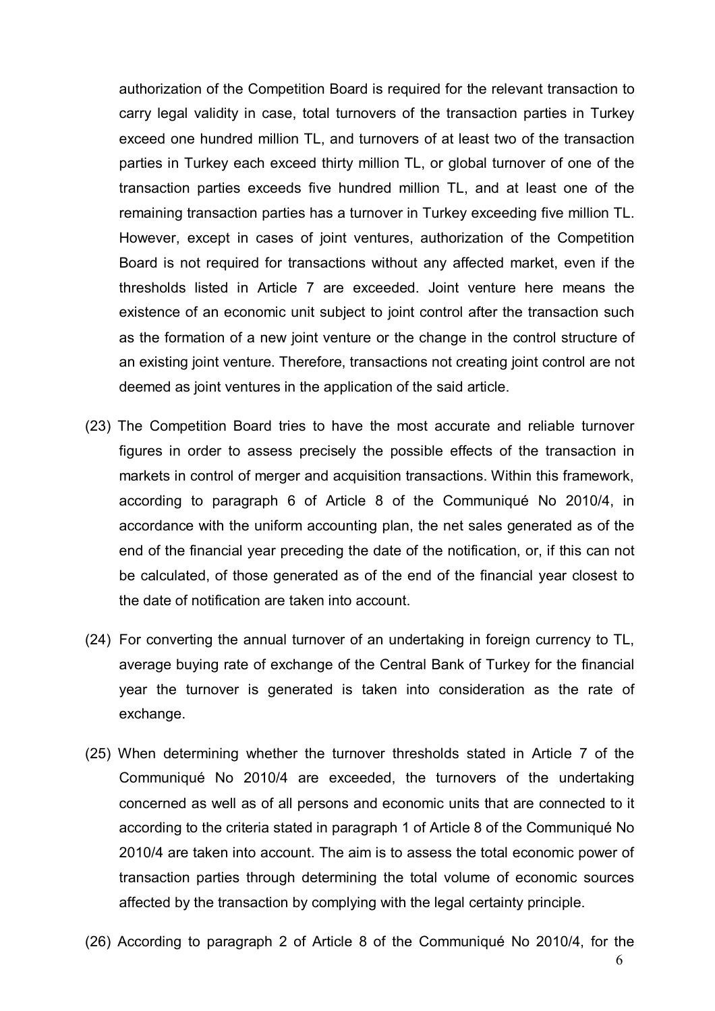authorization of the Competition Board is required for the relevant transaction to carry legal validity in case, total turnovers of the transaction parties in Turkey exceed one hundred million TL, and turnovers of at least two of the transaction parties in Turkey each exceed thirty million TL, or global turnover of one of the transaction parties exceeds five hundred million TL, and at least one of the remaining transaction parties has a turnover in Turkey exceeding five million TL. However, except in cases of joint ventures, authorization of the Competition Board is not required for transactions without any affected market, even if the thresholds listed in Article 7 are exceeded. Joint venture here means the existence of an economic unit subject to joint control after the transaction such as the formation of a new joint venture or the change in the control structure of an existing joint venture. Therefore, transactions not creating joint control are not deemed as joint ventures in the application of the said article.

- (23) The Competition Board tries to have the most accurate and reliable turnover figures in order to assess precisely the possible effects of the transaction in markets in control of merger and acquisition transactions. Within this framework, according to paragraph 6 of Article 8 of the Communiqué No 2010/4, in accordance with the uniform accounting plan, the net sales generated as of the end of the financial year preceding the date of the notification, or, if this can not be calculated, of those generated as of the end of the financial year closest to the date of notification are taken into account.
- (24) For converting the annual turnover of an undertaking in foreign currency to TL, average buying rate of exchange of the Central Bank of Turkey for the financial year the turnover is generated is taken into consideration as the rate of exchange.
- (25) When determining whether the turnover thresholds stated in Article 7 of the Communiqué No 2010/4 are exceeded, the turnovers of the undertaking concerned as well as of all persons and economic units that are connected to it according to the criteria stated in paragraph 1 of Article 8 of the Communiqué No 2010/4 are taken into account. The aim is to assess the total economic power of transaction parties through determining the total volume of economic sources affected by the transaction by complying with the legal certainty principle.
- (26) According to paragraph 2 of Article 8 of the Communiqué No 2010/4, for the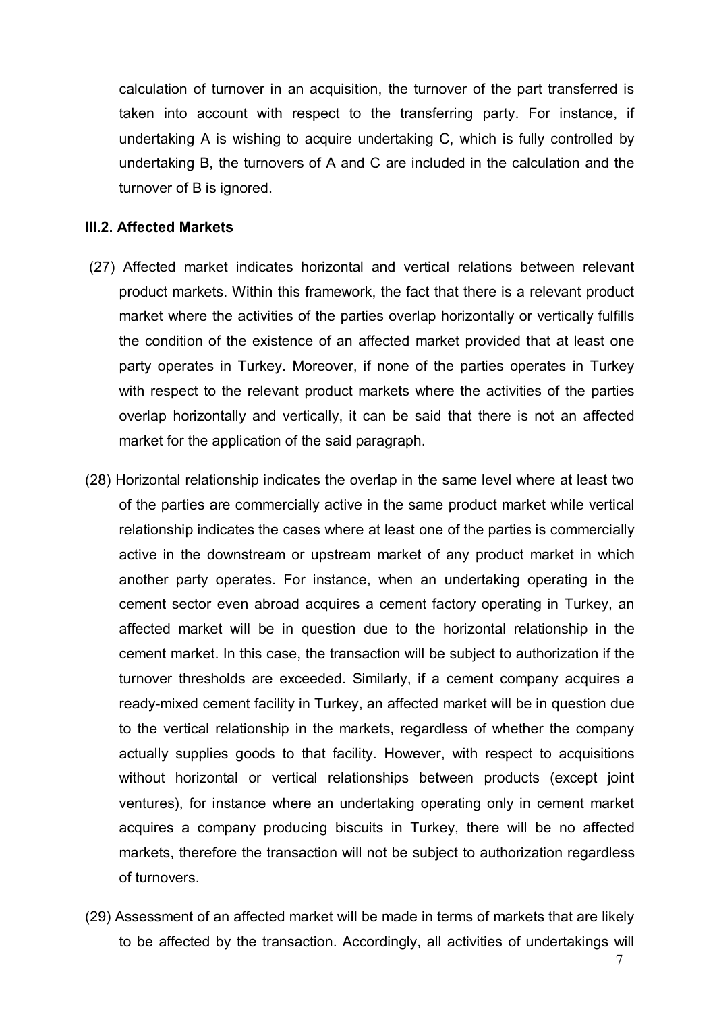calculation of turnover in an acquisition, the turnover of the part transferred is taken into account with respect to the transferring party. For instance, if undertaking A is wishing to acquire undertaking C, which is fully controlled by undertaking B, the turnovers of A and C are included in the calculation and the turnover of B is ignored.

#### **III.2. Affected Markets**

- (27) Affected market indicates horizontal and vertical relations between relevant product markets. Within this framework, the fact that there is a relevant product market where the activities of the parties overlap horizontally or vertically fulfills the condition of the existence of an affected market provided that at least one party operates in Turkey. Moreover, if none of the parties operates in Turkey with respect to the relevant product markets where the activities of the parties overlap horizontally and vertically, it can be said that there is not an affected market for the application of the said paragraph.
- (28) Horizontal relationship indicates the overlap in the same level where at least two of the parties are commercially active in the same product market while vertical relationship indicates the cases where at least one of the parties is commercially active in the downstream or upstream market of any product market in which another party operates. For instance, when an undertaking operating in the cement sector even abroad acquires a cement factory operating in Turkey, an affected market will be in question due to the horizontal relationship in the cement market. In this case, the transaction will be subject to authorization if the turnover thresholds are exceeded. Similarly, if a cement company acquires a ready-mixed cement facility in Turkey, an affected market will be in question due to the vertical relationship in the markets, regardless of whether the company actually supplies goods to that facility. However, with respect to acquisitions without horizontal or vertical relationships between products (except joint ventures), for instance where an undertaking operating only in cement market acquires a company producing biscuits in Turkey, there will be no affected markets, therefore the transaction will not be subject to authorization regardless of turnovers.
- (29) Assessment of an affected market will be made in terms of markets that are likely to be affected by the transaction. Accordingly, all activities of undertakings will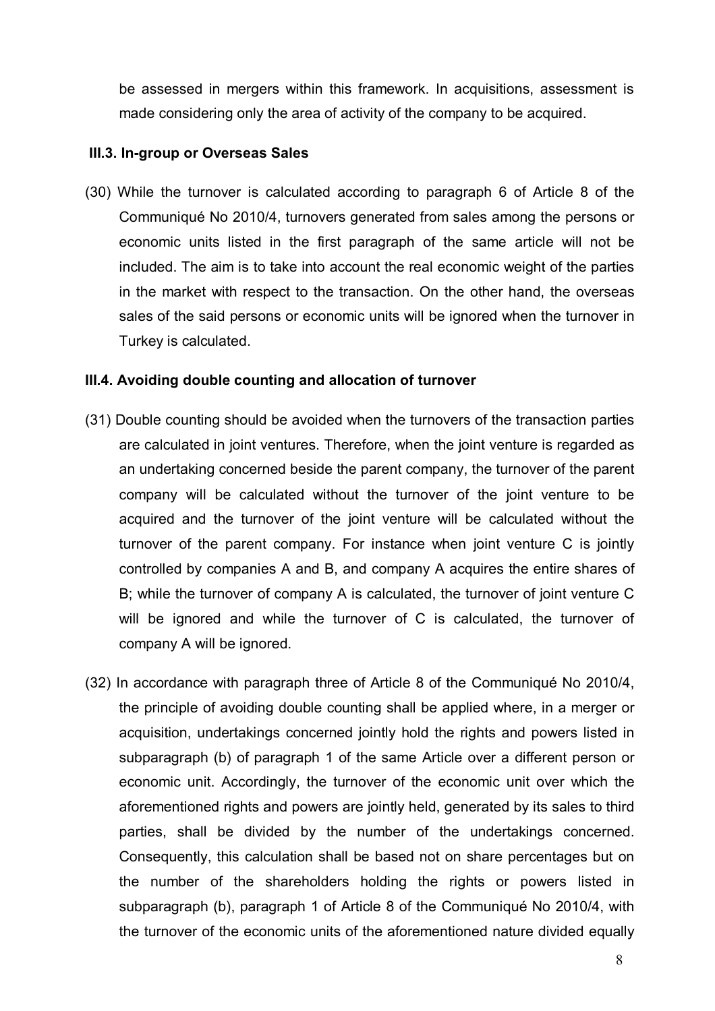be assessed in mergers within this framework. In acquisitions, assessment is made considering only the area of activity of the company to be acquired.

## **III.3. In-group or Overseas Sales**

(30) While the turnover is calculated according to paragraph 6 of Article 8 of the Communiqué No 2010/4, turnovers generated from sales among the persons or economic units listed in the first paragraph of the same article will not be included. The aim is to take into account the real economic weight of the parties in the market with respect to the transaction. On the other hand, the overseas sales of the said persons or economic units will be ignored when the turnover in Turkey is calculated.

#### **III.4. Avoiding double counting and allocation of turnover**

- (31) Double counting should be avoided when the turnovers of the transaction parties are calculated in joint ventures. Therefore, when the joint venture is regarded as an undertaking concerned beside the parent company, the turnover of the parent company will be calculated without the turnover of the joint venture to be acquired and the turnover of the joint venture will be calculated without the turnover of the parent company. For instance when joint venture C is jointly controlled by companies A and B, and company A acquires the entire shares of B; while the turnover of company A is calculated, the turnover of joint venture C will be ignored and while the turnover of C is calculated, the turnover of company A will be ignored.
- (32) In accordance with paragraph three of Article 8 of the Communiqué No 2010/4, the principle of avoiding double counting shall be applied where, in a merger or acquisition, undertakings concerned jointly hold the rights and powers listed in subparagraph (b) of paragraph 1 of the same Article over a different person or economic unit. Accordingly, the turnover of the economic unit over which the aforementioned rights and powers are jointly held, generated by its sales to third parties, shall be divided by the number of the undertakings concerned. Consequently, this calculation shall be based not on share percentages but on the number of the shareholders holding the rights or powers listed in subparagraph (b), paragraph 1 of Article 8 of the Communiqué No 2010/4, with the turnover of the economic units of the aforementioned nature divided equally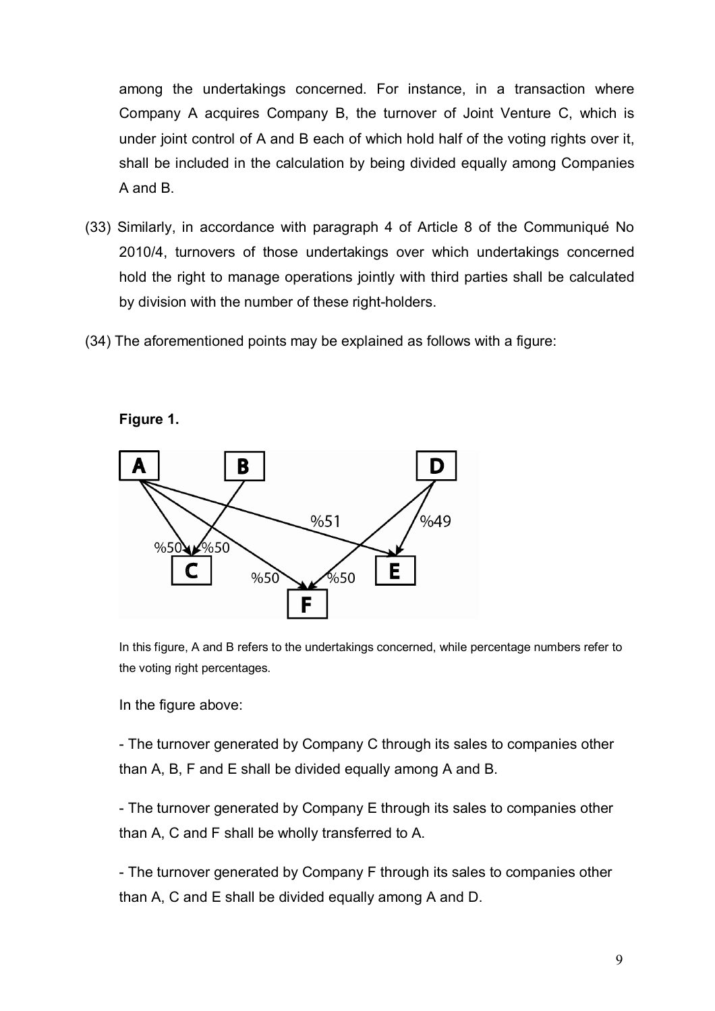among the undertakings concerned. For instance, in a transaction where Company A acquires Company B, the turnover of Joint Venture C, which is under joint control of A and B each of which hold half of the voting rights over it, shall be included in the calculation by being divided equally among Companies A and B.

- (33) Similarly, in accordance with paragraph 4 of Article 8 of the Communiqué No 2010/4, turnovers of those undertakings over which undertakings concerned hold the right to manage operations jointly with third parties shall be calculated by division with the number of these right-holders.
- (34) The aforementioned points may be explained as follows with a figure:



**Figure 1.**

In this figure, A and B refers to the undertakings concerned, while percentage numbers refer to the voting right percentages.

In the figure above:

- The turnover generated by Company C through its sales to companies other than A, B, F and E shall be divided equally among A and B.

- The turnover generated by Company E through its sales to companies other than A, C and F shall be wholly transferred to A.

- The turnover generated by Company F through its sales to companies other than A, C and E shall be divided equally among A and D.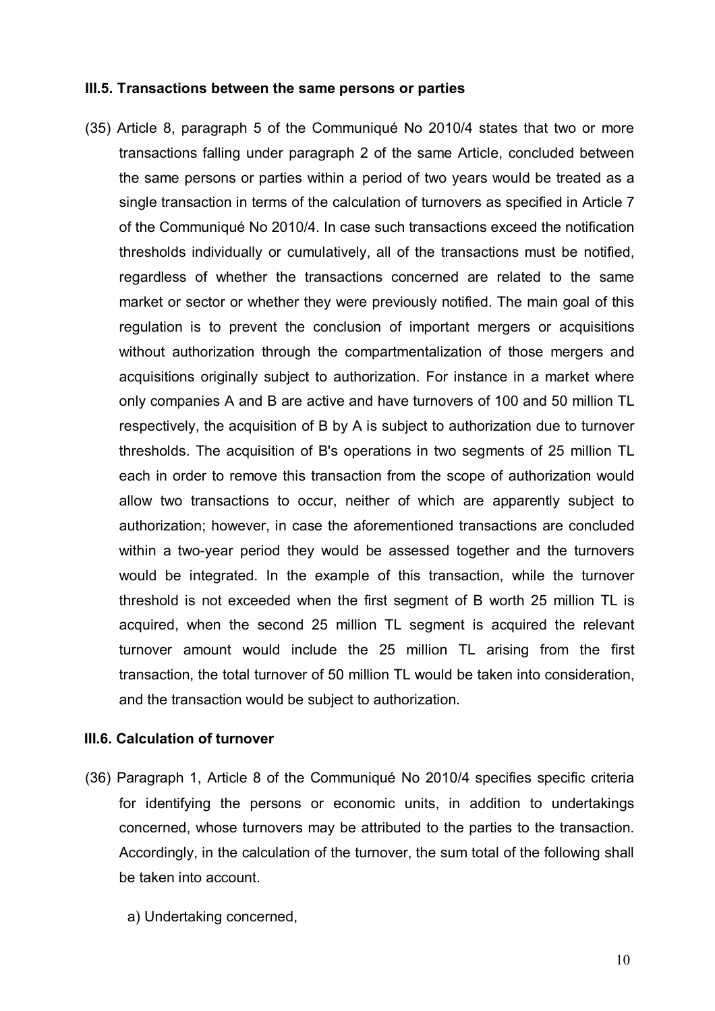#### **III.5. Transactions between the same persons or parties**

(35) Article 8, paragraph 5 of the Communiqué No 2010/4 states that two or more transactions falling under paragraph 2 of the same Article, concluded between the same persons or parties within a period of two years would be treated as a single transaction in terms of the calculation of turnovers as specified in Article 7 of the Communiqué No 2010/4. In case such transactions exceed the notification thresholds individually or cumulatively, all of the transactions must be notified, regardless of whether the transactions concerned are related to the same market or sector or whether they were previously notified. The main goal of this regulation is to prevent the conclusion of important mergers or acquisitions without authorization through the compartmentalization of those mergers and acquisitions originally subject to authorization. For instance in a market where only companies A and B are active and have turnovers of 100 and 50 million TL respectively, the acquisition of B by A is subject to authorization due to turnover thresholds. The acquisition of B's operations in two segments of 25 million TL each in order to remove this transaction from the scope of authorization would allow two transactions to occur, neither of which are apparently subject to authorization; however, in case the aforementioned transactions are concluded within a two-year period they would be assessed together and the turnovers would be integrated. In the example of this transaction, while the turnover threshold is not exceeded when the first segment of B worth 25 million TL is acquired, when the second 25 million TL segment is acquired the relevant turnover amount would include the 25 million TL arising from the first transaction, the total turnover of 50 million TL would be taken into consideration, and the transaction would be subject to authorization.

#### **III.6. Calculation of turnover**

- (36) Paragraph 1, Article 8 of the Communiqué No 2010/4 specifies specific criteria for identifying the persons or economic units, in addition to undertakings concerned, whose turnovers may be attributed to the parties to the transaction. Accordingly, in the calculation of the turnover, the sum total of the following shall be taken into account.
	- a) Undertaking concerned,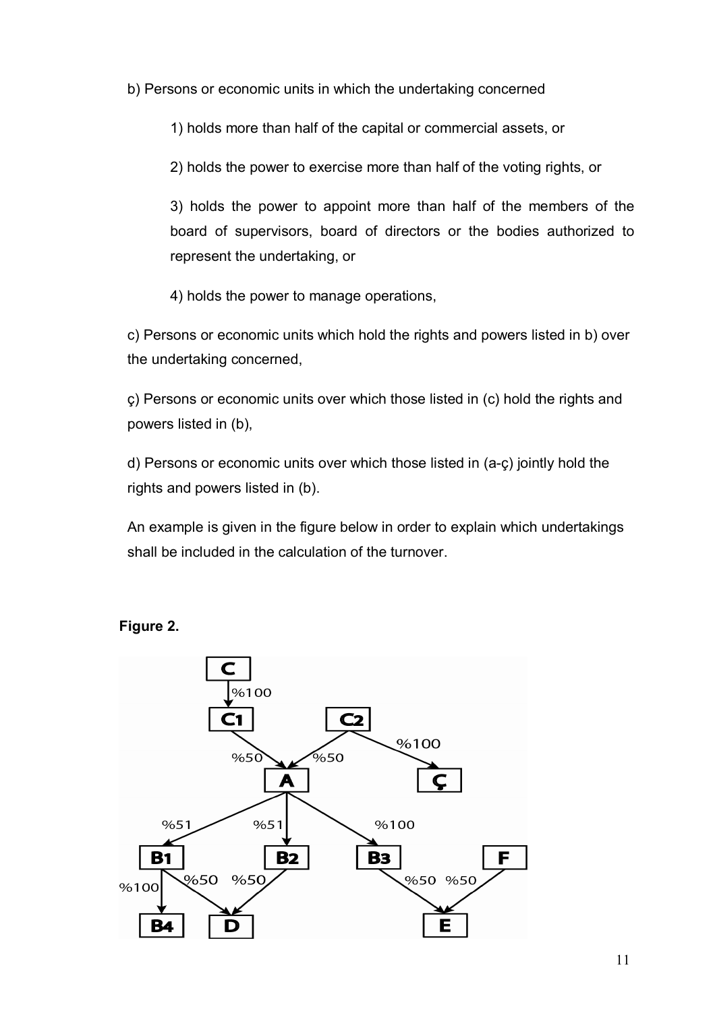b) Persons or economic units in which the undertaking concerned

1) holds more than half of the capital or commercial assets, or

2) holds the power to exercise more than half of the voting rights, or

3) holds the power to appoint more than half of the members of the board of supervisors, board of directors or the bodies authorized to represent the undertaking, or

4) holds the power to manage operations,

c) Persons or economic units which hold the rights and powers listed in b) over the undertaking concerned,

ç) Persons or economic units over which those listed in (c) hold the rights and powers listed in (b),

d) Persons or economic units over which those listed in (a-ç) jointly hold the rights and powers listed in (b).

An example is given in the figure below in order to explain which undertakings shall be included in the calculation of the turnover.



#### **Figure 2.**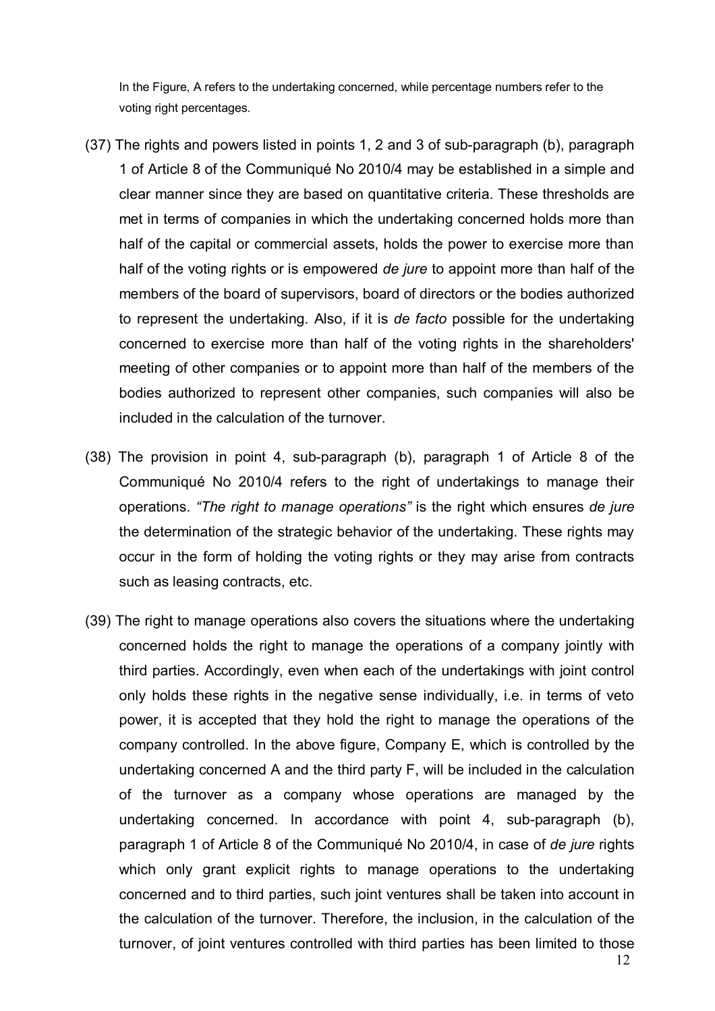In the Figure, A refers to the undertaking concerned, while percentage numbers refer to the voting right percentages.

- (37) The rights and powers listed in points 1, 2 and 3 of sub-paragraph (b), paragraph 1 of Article 8 of the Communiqué No 2010/4 may be established in a simple and clear manner since they are based on quantitative criteria. These thresholds are met in terms of companies in which the undertaking concerned holds more than half of the capital or commercial assets, holds the power to exercise more than half of the voting rights or is empowered *de jure* to appoint more than half of the members of the board of supervisors, board of directors or the bodies authorized to represent the undertaking. Also, if it is *de facto* possible for the undertaking concerned to exercise more than half of the voting rights in the shareholders' meeting of other companies or to appoint more than half of the members of the bodies authorized to represent other companies, such companies will also be included in the calculation of the turnover.
- (38) The provision in point 4, sub-paragraph (b), paragraph 1 of Article 8 of the Communiqué No 2010/4 refers to the right of undertakings to manage their operations. *"The right to manage operations"* is the right which ensures *de jure* the determination of the strategic behavior of the undertaking. These rights may occur in the form of holding the voting rights or they may arise from contracts such as leasing contracts, etc.
- (39) The right to manage operations also covers the situations where the undertaking concerned holds the right to manage the operations of a company jointly with third parties. Accordingly, even when each of the undertakings with joint control only holds these rights in the negative sense individually, i.e. in terms of veto power, it is accepted that they hold the right to manage the operations of the company controlled. In the above figure, Company E, which is controlled by the undertaking concerned A and the third party F, will be included in the calculation of the turnover as a company whose operations are managed by the undertaking concerned. In accordance with point 4, sub-paragraph (b), paragraph 1 of Article 8 of the Communiqué No 2010/4, in case of *de jure* rights which only grant explicit rights to manage operations to the undertaking concerned and to third parties, such joint ventures shall be taken into account in the calculation of the turnover. Therefore, the inclusion, in the calculation of the turnover, of joint ventures controlled with third parties has been limited to those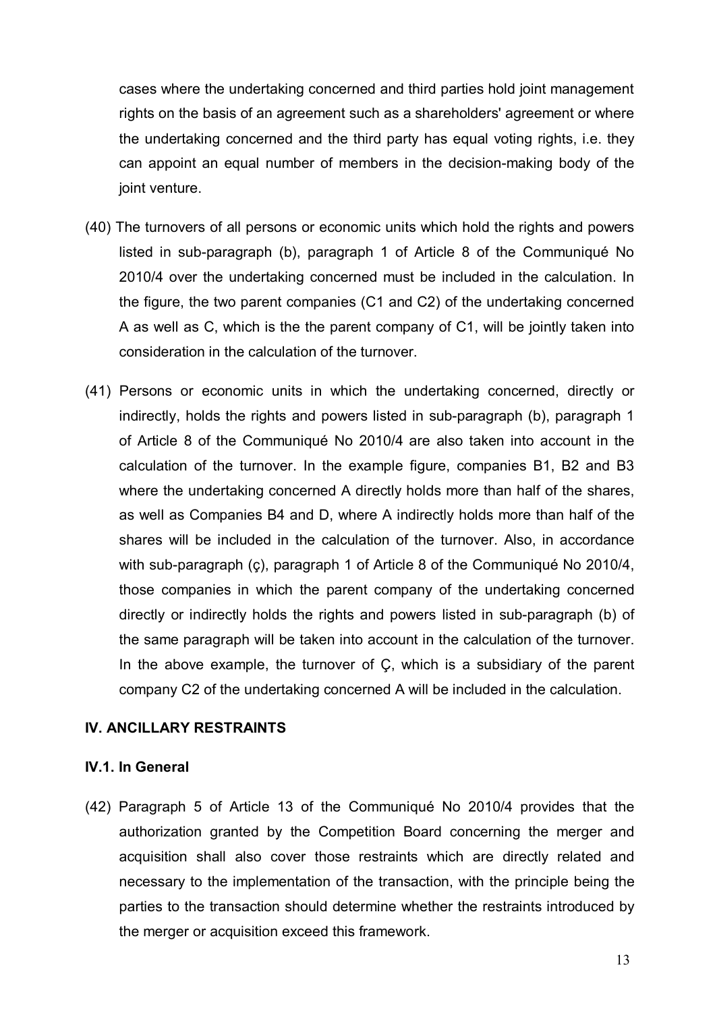cases where the undertaking concerned and third parties hold joint management rights on the basis of an agreement such as a shareholders' agreement or where the undertaking concerned and the third party has equal voting rights, i.e. they can appoint an equal number of members in the decision-making body of the joint venture.

- (40) The turnovers of all persons or economic units which hold the rights and powers listed in sub-paragraph (b), paragraph 1 of Article 8 of the Communiqué No 2010/4 over the undertaking concerned must be included in the calculation. In the figure, the two parent companies (C1 and C2) of the undertaking concerned A as well as C, which is the the parent company of C1, will be jointly taken into consideration in the calculation of the turnover.
- (41) Persons or economic units in which the undertaking concerned, directly or indirectly, holds the rights and powers listed in sub-paragraph (b), paragraph 1 of Article 8 of the Communiqué No 2010/4 are also taken into account in the calculation of the turnover. In the example figure, companies B1, B2 and B3 where the undertaking concerned A directly holds more than half of the shares, as well as Companies B4 and D, where A indirectly holds more than half of the shares will be included in the calculation of the turnover. Also, in accordance with sub-paragraph (c), paragraph 1 of Article 8 of the Communiqué No 2010/4, those companies in which the parent company of the undertaking concerned directly or indirectly holds the rights and powers listed in sub-paragraph (b) of the same paragraph will be taken into account in the calculation of the turnover. In the above example, the turnover of Ç, which is a subsidiary of the parent company C2 of the undertaking concerned A will be included in the calculation.

# **IV. ANCILLARY RESTRAINTS**

#### **IV.1. In General**

(42) Paragraph 5 of Article 13 of the Communiqué No 2010/4 provides that the authorization granted by the Competition Board concerning the merger and acquisition shall also cover those restraints which are directly related and necessary to the implementation of the transaction, with the principle being the parties to the transaction should determine whether the restraints introduced by the merger or acquisition exceed this framework.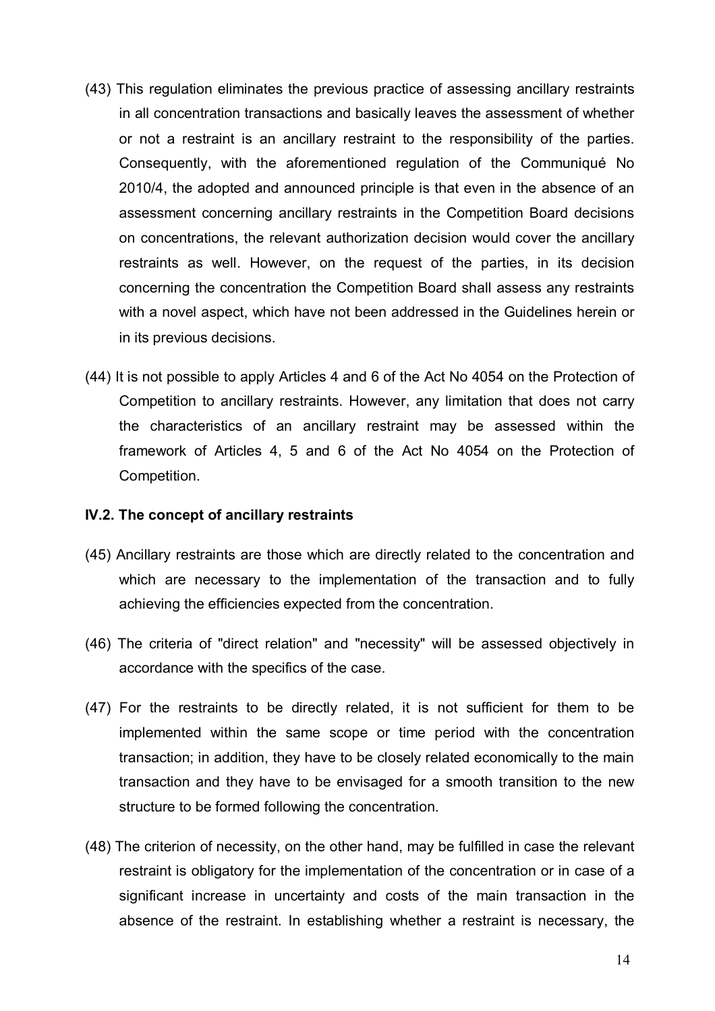- (43) This regulation eliminates the previous practice of assessing ancillary restraints in all concentration transactions and basically leaves the assessment of whether or not a restraint is an ancillary restraint to the responsibility of the parties. Consequently, with the aforementioned regulation of the Communiqué No 2010/4, the adopted and announced principle is that even in the absence of an assessment concerning ancillary restraints in the Competition Board decisions on concentrations, the relevant authorization decision would cover the ancillary restraints as well. However, on the request of the parties, in its decision concerning the concentration the Competition Board shall assess any restraints with a novel aspect, which have not been addressed in the Guidelines herein or in its previous decisions.
- (44) It is not possible to apply Articles 4 and 6 of the Act No 4054 on the Protection of Competition to ancillary restraints. However, any limitation that does not carry the characteristics of an ancillary restraint may be assessed within the framework of Articles 4, 5 and 6 of the Act No 4054 on the Protection of Competition.

#### **IV.2. The concept of ancillary restraints**

- (45) Ancillary restraints are those which are directly related to the concentration and which are necessary to the implementation of the transaction and to fully achieving the efficiencies expected from the concentration.
- (46) The criteria of "direct relation" and "necessity" will be assessed objectively in accordance with the specifics of the case.
- (47) For the restraints to be directly related, it is not sufficient for them to be implemented within the same scope or time period with the concentration transaction; in addition, they have to be closely related economically to the main transaction and they have to be envisaged for a smooth transition to the new structure to be formed following the concentration.
- (48) The criterion of necessity, on the other hand, may be fulfilled in case the relevant restraint is obligatory for the implementation of the concentration or in case of a significant increase in uncertainty and costs of the main transaction in the absence of the restraint. In establishing whether a restraint is necessary, the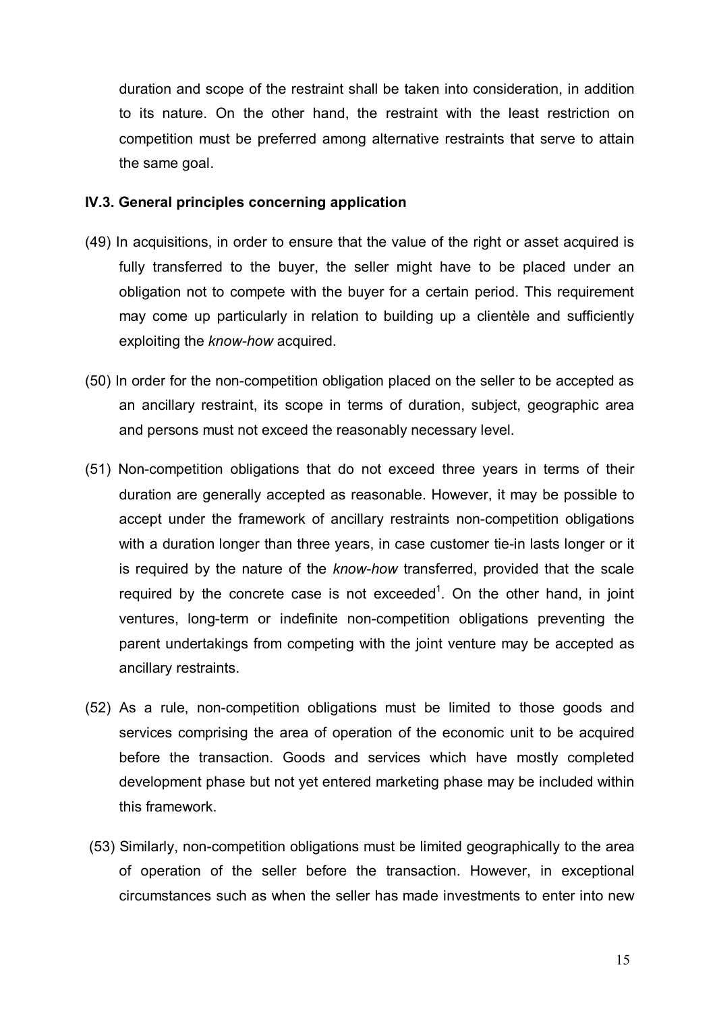duration and scope of the restraint shall be taken into consideration, in addition to its nature. On the other hand, the restraint with the least restriction on competition must be preferred among alternative restraints that serve to attain the same goal.

### **IV.3. General principles concerning application**

- (49) In acquisitions, in order to ensure that the value of the right or asset acquired is fully transferred to the buyer, the seller might have to be placed under an obligation not to compete with the buyer for a certain period. This requirement may come up particularly in relation to building up a clientèle and sufficiently exploiting the *know-how* acquired.
- (50) In order for the non-competition obligation placed on the seller to be accepted as an ancillary restraint, its scope in terms of duration, subject, geographic area and persons must not exceed the reasonably necessary level.
- (51) Non-competition obligations that do not exceed three years in terms of their duration are generally accepted as reasonable. However, it may be possible to accept under the framework of ancillary restraints non-competition obligations with a duration longer than three years, in case customer tie-in lasts longer or it is required by the nature of the *know-how* transferred, provided that the scale required by the concrete case is not exceeded<sup>1</sup>. On the other hand, in joint ventures, long-term or indefinite non-competition obligations preventing the parent undertakings from competing with the joint venture may be accepted as ancillary restraints.
- (52) As a rule, non-competition obligations must be limited to those goods and services comprising the area of operation of the economic unit to be acquired before the transaction. Goods and services which have mostly completed development phase but not yet entered marketing phase may be included within this framework.
- (53) Similarly, non-competition obligations must be limited geographically to the area of operation of the seller before the transaction. However, in exceptional circumstances such as when the seller has made investments to enter into new